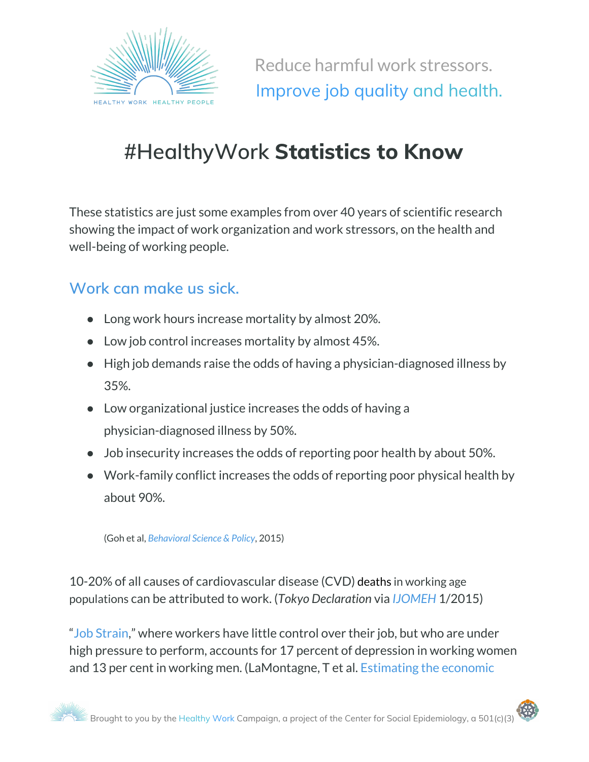

Reduce harmful work stressors. Improve job quality and health.

# **#HealthyWork Statistics to Know**

These statistics are just some examples from over 40 years of scientific research showing the impact of work organization and work stressors, on the health and well-being of working people.

## **Work can make us sick.**

- Long work hours increase mortality by almost 20%.
- Low job control increases mortality by almost 45%.
- High job demands raise the odds of having a physician-diagnosed illness by 35%.
- Low organizational justice increases the odds of having a physician-diagnosed illness by 50%.
- Job insecurity increases the odds of reporting poor health by about 50%.
- Work-family conflict increases the odds of reporting poor physical health by about 90%.

(Goh et al, *[Behavioral](https://behavioralpolicy.org/articles/workplace-stressors-health-outcomes-health-policy-for-the-workplace/) Science & Policy*, 2015)

10-20% of all causes of cardiovascular disease (CVD) deaths in working age populations can be attributed to work. (*Tokyo Declaration* via *[IJOMEH](http://ijomeh.eu/Prevention-and-management-of-work-related-cardiovascular-disorders,1940,0,2.html)* 1/2015)

"Job [Strain,](https://www.vichealth.vic.gov.au/-/media/ResourceCentre/PublicationsandResources/Economic-participation/Job-strain/P-022-SC_Job_Strain_SUMMARY_October2010_V12.pdf)" where workers have little control over their job, but who are under high pressure to perform, accounts for 17 percent of depression in working women and 13 per cent in working men. (LaMontagne, T et al. [Estimating](http://www.vichealth.vic.gov.au/jobstrain) the economic

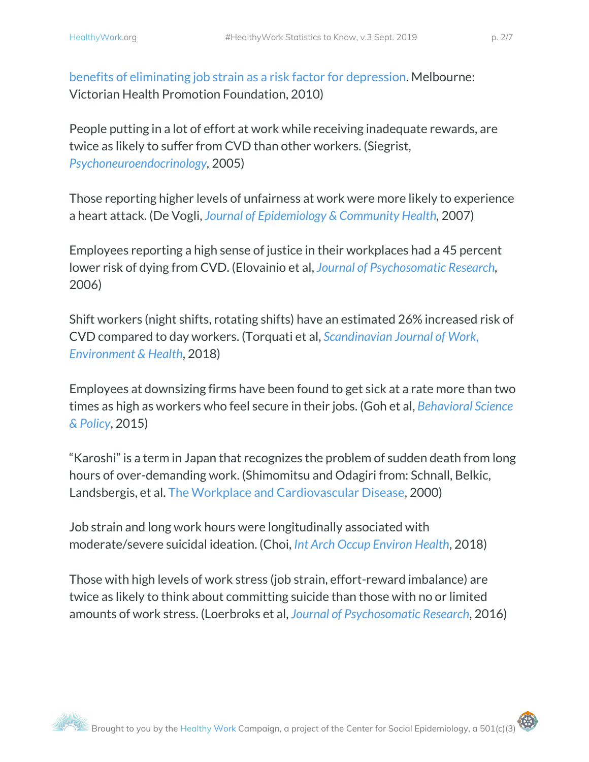People putting in a lot of effort at work while receiving inadequate rewards, are twice as likely to suffer from CVD than other workers. (Siegrist, *[Psychoneuroendocrinology](https://www.ncbi.nlm.nih.gov/pubmed/15951124),* 2005)

Those reporting higher levels of unfairness at work were more likely to experience a heart attack. (De Vogli, *Journal of [Epidemiology](http://jech.bmj.com/content/61/6/513.short) & Community Health,* 2007)

Employees reporting a high sense of justice in their workplaces had a 45 percent lower risk of dying from CVD. (Elovainio et al, *Journal of [Psychosomatic](https://www.ncbi.nlm.nih.gov/pubmed/16880031) Research,* 2006)

Shift workers (night shifts, rotating shifts) have an estimated 26% increased risk of CVD compared to day workers. (Torquati et al, *[Scandinavian](https://www.ncbi.nlm.nih.gov/pubmed/29247501) Journal of Work, [Environment](https://www.ncbi.nlm.nih.gov/pubmed/29247501) & Health*, 2018)

Employees at downsizing firms have been found to get sick at a rate more than two times as high as workers who feel secure in their jobs. (Goh et al, *[Behavioral](https://behavioralpolicy.org/article/workplace-stressors-health-outcomes/) Science & [Policy](https://behavioralpolicy.org/article/workplace-stressors-health-outcomes/)*, 2015)

"Karoshi" is a term in Japan that recognizes the problem of sudden death from long hours of over-demanding work. (Shimomitsu and Odagiri from: Schnall, Belkic, Landsbergis, et al. The Workplace and [Cardiovascular](https://www.amazon.com/Workplace-Cardiovascular-Disease-STATE-REVIEWS/dp/1560533250) Disease, [2000](https://www.amazon.com/Workplace-Cardiovascular-Disease-STATE-REVIEWS/dp/1560533250))

Job strain and long work hours were longitudinally associated with moderate/severe suicidal ideation. (Choi, *Int Arch Occup [Environ](https://www.ncbi.nlm.nih.gov/pubmed/29959524) Health*, [2018\)](https://www.ncbi.nlm.nih.gov/pubmed/29959524)

Those with high levels of work stress (job strain, effort-reward imbalance) are twice as likely to think about committing suicide than those with no or limited amounts of work stress. (Loerbroks et al, *Journal of [Psychosomatic](http://www.jpsychores.com/article/S0022-3999(16)30395-6/abstract) Research*, 2016)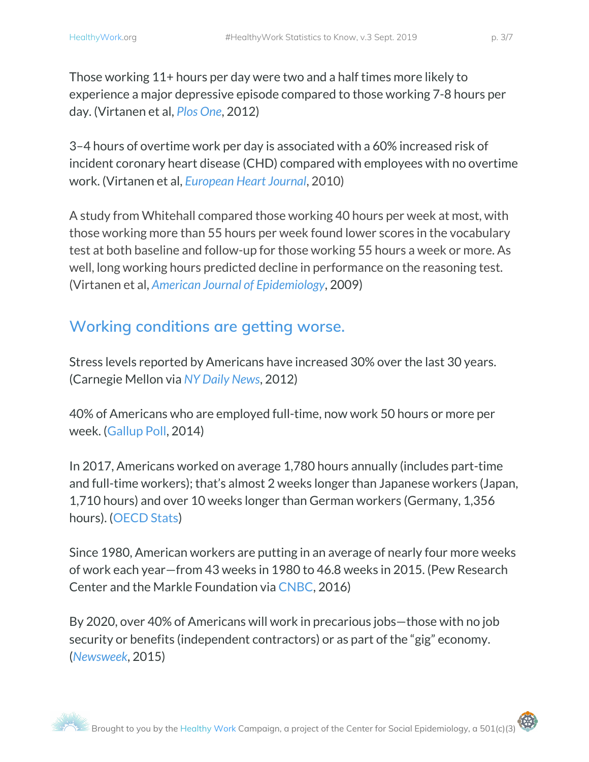3–4 hours of overtime work per day is associated with a 60% increased risk of incident coronary heart disease (CHD) compared with employees with no overtime work. (Virtanen et al, *[European](https://academic.oup.com/eurheartj/article-lookup/doi/10.1093/eurheartj/ehq124) Heart Journal*, 2010)

A study from Whitehall compared those working 40 hours per week at most, with those working more than 55 hours per week found lower scores in the vocabulary test at both baseline and follow-up for those working 55 hours a week or more. As well, long working hours predicted decline in performance on the reasoning test. (Virtanen et al, *American Journal of [Epidemiology](https://doi.org/10.1093/aje/kwn382)*, 2009)

# **Working conditions are getting worse.**

Stress levels reported by Americans have increased 30% over the last 30 years. (Carnegie Mellon via *NY Daily [News](http://www.nydailynews.com/news/national/stress-levels-soar-america-30-30-years-article-1.1096918)*, [2012\)](http://www.nydailynews.com/news/national/stress-levels-soar-america-30-30-years-article-1.1096918)

40% of Americans who are employed full-time, now work 50 hours or more per week. ([Gallup](http://www.gallup.com/poll/175286/hour-workweek-actually-longer-seven-hours.aspx) Poll, 2014)

In 2017, Americans worked on average 1,780 hours annually (includes part-time and full-time workers); that's almost 2 weeks longer than Japanese workers (Japan, 1,710 hours) and over 10 weeks longer than German workers (Germany, 1,356 hours). ([OECD](http://stats.oecd.org/Index.aspx?DataSetCode=ANHRS) Stats)

Since 1980, American workers are putting in an average of nearly four more weeks of work each year—from 43 weeks in 1980 to 46.8 weeks in 2015. (Pew Research Center and the Markle Foundation via [CNBC,](http://www.cnbc.com/2016/10/06/heres-what-millions-of-americans-fear-most-about-their-jobs.html?view=story&%24DEVICE%24=native-android-mobile) 2016)

By 2020, over 40% of Americans will work in precarious jobs—those with no job security or benefits (independent contractors) or as part of the "gig" economy. (*[Newsweek](http://www.newsweek.com/downside-gig-economy-365422)*, 2015)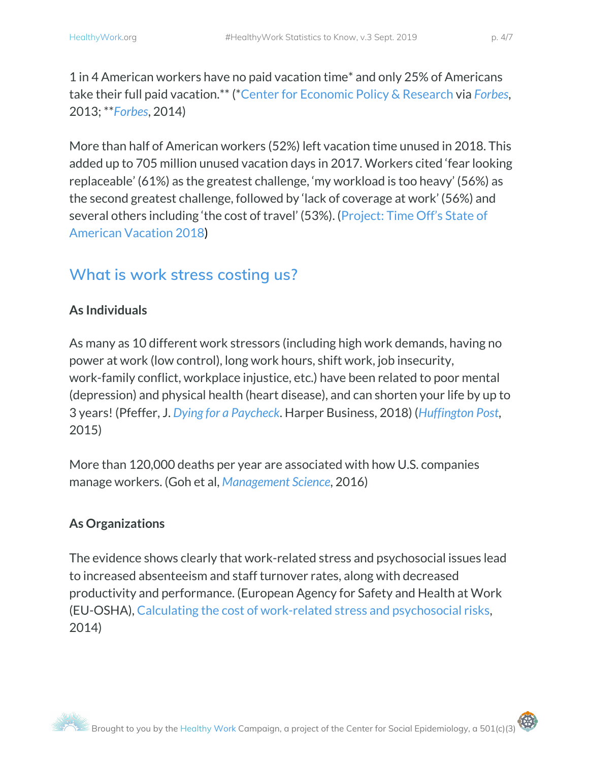1 in 4 American workers have no paid vacation time\* and only 25% of Americans take their full paid vacation.\*\* (\*Center for [Economic](http://cepr.net/publications/reports/no-vacation-nation-2013) Policy & Research via *[Forbes](http://www.forbes.com/sites/tanyamohn/2013/08/13/paid-time-off-forget-about-it-a-report-looks-at-how-the-u-s-compares-to-other-countries/#5d7a724bd8aa)*, 2013; \*\**[Forbes](http://www.forbes.com/sites/susanadams/2014/04/04/only-25-of-americans-take-their-paid-vacation/#328625ca2c5c)*, 2014)

More than half of American workers (52%) left vacation time unused in 2018. This added up to 705 million unused vacation days in 2017. Workers cited 'fear looking replaceable' (61%) as the greatest challenge, 'my workload is too heavy' (56%) as the second greatest challenge, followed by 'lack of coverage at work' (56%) and several others including 'the cost of travel' (53%). ([Project:](https://projecttimeoff.com/wp-content/uploads/2018/05/StateofAmericanVacation2018.pdf) Time Off's State of [American](https://projecttimeoff.com/wp-content/uploads/2018/05/StateofAmericanVacation2018.pdf) Vacation 2018)

## **What is work stress costing us?**

## **As Individuals**

As many as 10 different work stressors (including high work demands, having no power at work (low control), long work hours, shift work, job insecurity, work-family conflict, workplace injustice, etc.) have been related to poor mental (depression) and physical health (heart disease), and can shorten your life by up to 3 years! (Pfeffer, J. *Dying for a [Paycheck](https://www.harpercollins.com/9780062800930/dying-for-a-paycheck/)*. Harper Business, 2018) (*[Huffington](http://www.huffingtonpost.com/entry/work-stress-can-shave-up-to-3-years-off-your-life-study-says_5632442ee4b00aa54a4d0f88) Post*, 2015)

More than 120,000 deaths per year are associated with how U.S. companies manage workers. (Goh et al, *[Management](http://www.hbs.edu/faculty/Pages/item.aspx?num=50305) Science*, 2016)

## **As Organizations**

The evidence shows clearly that work-related stress and psychosocial issues lead to increased absenteeism and staff turnover rates, along with decreased productivity and performance. [\(European](https://osha.europa.eu/en/publications/literature_reviews/calculating-the-cost-of-work-related-stress-and-psychosocial-risks/view) Agency for Safety and Health at Work [\(EU-OSHA\),](https://osha.europa.eu/en/publications/literature_reviews/calculating-the-cost-of-work-related-stress-and-psychosocial-risks/view) Calculating the cost of [work-related](https://osha.europa.eu/en/publications/literature_reviews/calculating-the-cost-of-work-related-stress-and-psychosocial-risks/view) stress and psychosocial risk[s,](https://osha.europa.eu/en/publications/literature_reviews/calculating-the-cost-of-work-related-stress-and-psychosocial-risks/view) [2014](https://osha.europa.eu/en/publications/literature_reviews/calculating-the-cost-of-work-related-stress-and-psychosocial-risks/view))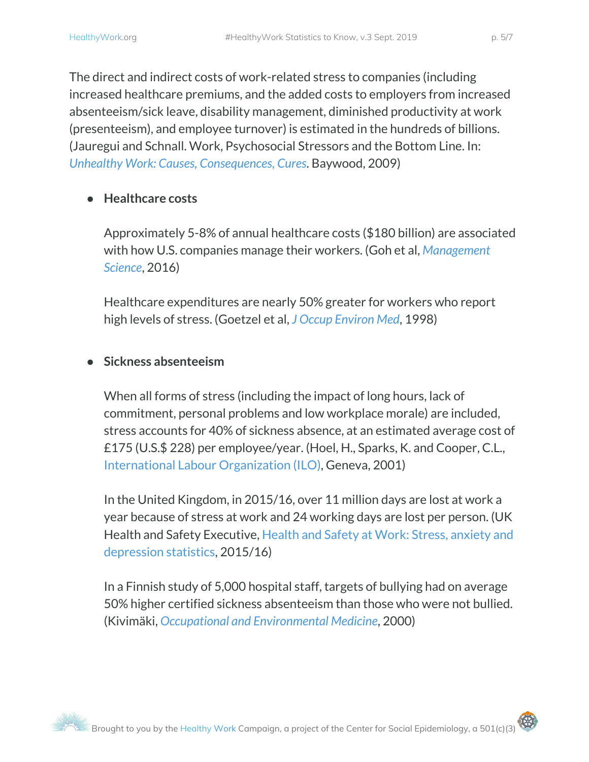The direct and indirect costs of work-related stress to companies (including increased healthcare premiums, and the added costs to employers from increased absenteeism/sick leave, disability management, diminished productivity at work (presenteeism), and employee turnover) is estimated in the hundreds of billions. (Jauregui and Schnall. Work, Psychosocial Stressors and the Bottom Line. In: *Unhealthy Work: Causes, [Consequences,](https://unhealthywork.org/category/unhealthywork/) Cures*. Baywood, 2009)

#### **● Healthcare costs**

Approximately 5-8% of annual healthcare costs (\$180 billion) are associated with how U.S. companies manage their workers. (Goh et al, *[Management](http://www.hbs.edu/faculty/Pages/item.aspx?num=50305) [Science](http://www.hbs.edu/faculty/Pages/item.aspx?num=50305)*, 2016)

Healthcare expenditures are nearly 50% greater for workers who report high levels of stress. [\(Goetzel](https://www.ncbi.nlm.nih.gov/pubmed/9800168) et al, *J Occup [Environ](https://www.ncbi.nlm.nih.gov/pubmed/9800168) Med*, [1998\)](https://www.ncbi.nlm.nih.gov/pubmed/9800168)

#### **● Sickness absenteeism**

When all forms of stress (including the impact of long hours, lack of commitment, personal problems and low workplace morale) are included, stress accounts for 40% of sickness absence, at an estimated average cost of £175 (U.S.\$ 228) per employee/year. (Hoel, H., Sparks, K. and Cooper, C.L., International Labour [Organization](http://www.ilo.org/safework/info/publications/WCMS_108532/lang--en/index.htm) (ILO), Geneva, 2001)

In the United Kingdom, in 2015/16, over 11 million days are lost at work a year because of stress at work and 24 working days are lost per person. (UK Health and Safety Executive, Health and Safety at Work: Stress, [anxiety](http://www.hse.gov.uk/pubns/priced/wrs-poster.pdf) and [depression](http://www.hse.gov.uk/pubns/priced/wrs-poster.pdf) statistics, 2015/16)

In a Finnish study of 5,000 hospital staff, targets of bullying had on average 50% higher certified sickness absenteeism than those who were not bullied. (Kivimäki, *Occupational and [Environmental](https://www.ncbi.nlm.nih.gov/pmc/articles/PMC1739873/) Medicine*, 2000)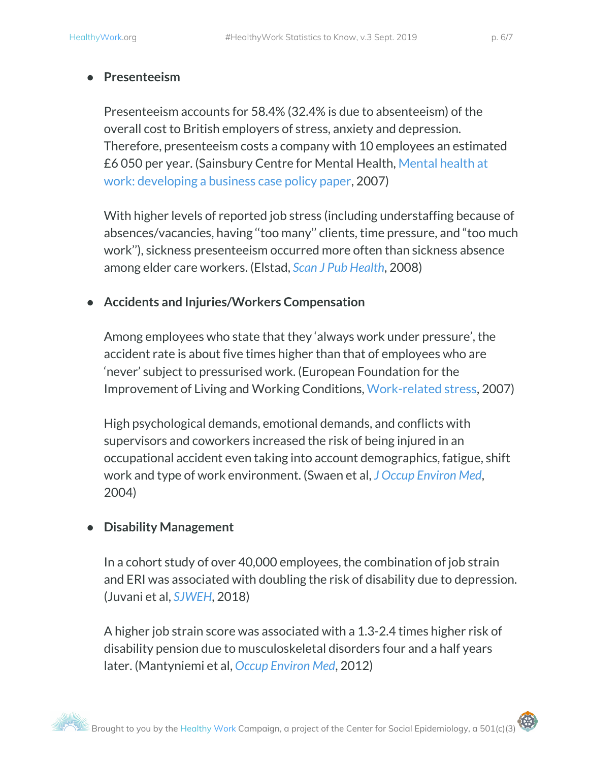#### **● Presenteeism**

Presenteeism accounts for 58.4% (32.4% is due to absenteeism) of the overall cost to British employers of stress, anxiety and depression. Therefore, presenteeism costs a company with 10 employees an estimated £6 050 per year. (Sainsbury Centre for Mental Health, [Mental](https://www.centreformentalhealth.org.uk/Handlers/Download.ashx?IDMF=4c278a50-8bd6-4aff-9cf3-7667c0770288) health at work: [developing](https://www.centreformentalhealth.org.uk/Handlers/Download.ashx?IDMF=4c278a50-8bd6-4aff-9cf3-7667c0770288) a business case policy paper, 2007)

With higher levels of reported job stress (including understaffing because of absences/vacancies, having ''too many'' clients, time pressure, and "too much work''), sickness presenteeism occurred more often than sickness absence among elder care workers. (Elstad, *Scan J Pub [Health](https://www.ncbi.nlm.nih.gov/pubmed/18635730)*, 2008)

#### ● **Accidents and Injuries/Workers Compensation**

Among employees who state that they 'always work under pressure', the accident rate is about five times higher than that of employees who are 'never' subject to pressurised work. (European Foundation for the Improvement of Living and Working Conditions, [Work-related](http://www.eurofound.europa.eu/ewco/reports/TN0502TR01/TN0502TR01.pdf) stress, 2007)

High psychological demands, emotional demands, and conflicts with supervisors and coworkers increased the risk of being injured in an occupational accident even taking into account demographics, fatigue, shift work and type of work environment. (Swaen et al, *J Occup [Environ](https://www.ncbi.nlm.nih.gov/pubmed/15213513) Med*, 2004)

#### **● Disability Management**

In a cohort study of over 40,000 employees, the combination of job strain and ERI was associated with doubling the risk of disability due to depression. (Juvani et al, *[SJWEH](https://www.sjweh.fi/show_abstract.php?abstract_id=3736&fullText=1)*, 2018)

A higher job strain score was associated with a 1.3-2.4 times higher risk of disability pension due to musculoskeletal disorders four and a half years later. (Mantyniemi et al, *Occup [Environ](https://www.ncbi.nlm.nih.gov/pubmed/22573793) Med*, 2012)